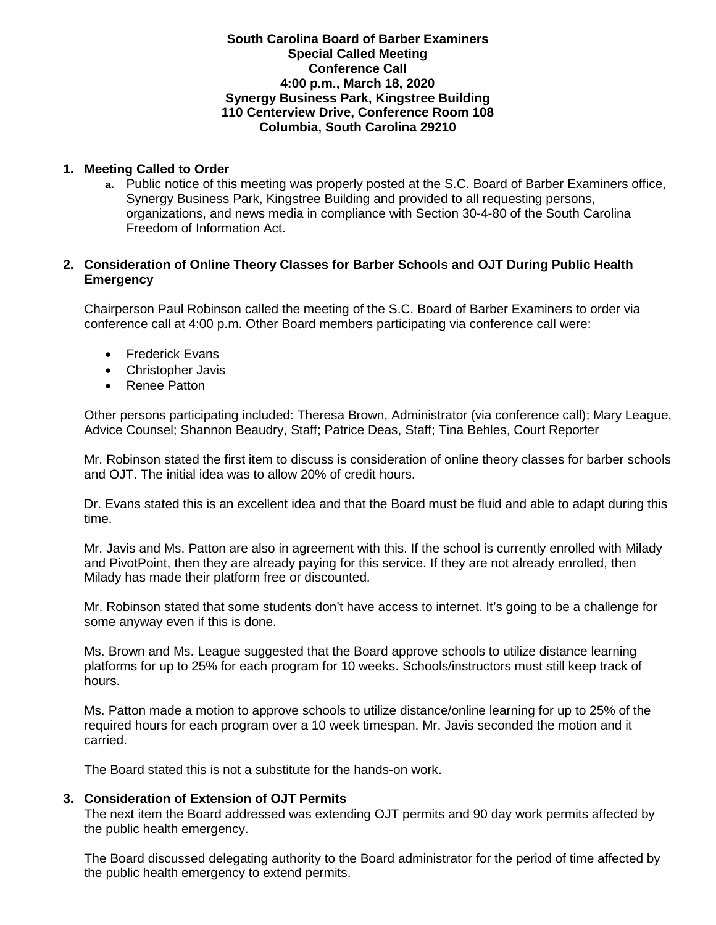### **South Carolina Board of Barber Examiners Special Called Meeting Conference Call 4:00 p.m., March 18, 2020 Synergy Business Park, Kingstree Building 110 Centerview Drive, Conference Room 108 Columbia, South Carolina 29210**

# **1. Meeting Called to Order**

**a.** Public notice of this meeting was properly posted at the S.C. Board of Barber Examiners office, Synergy Business Park, Kingstree Building and provided to all requesting persons, organizations, and news media in compliance with Section 30-4-80 of the South Carolina Freedom of Information Act.

### **2. Consideration of Online Theory Classes for Barber Schools and OJT During Public Health Emergency**

Chairperson Paul Robinson called the meeting of the S.C. Board of Barber Examiners to order via conference call at 4:00 p.m. Other Board members participating via conference call were:

- Frederick Evans
- Christopher Javis
- Renee Patton

Other persons participating included: Theresa Brown, Administrator (via conference call); Mary League, Advice Counsel; Shannon Beaudry, Staff; Patrice Deas, Staff; Tina Behles, Court Reporter

Mr. Robinson stated the first item to discuss is consideration of online theory classes for barber schools and OJT. The initial idea was to allow 20% of credit hours.

Dr. Evans stated this is an excellent idea and that the Board must be fluid and able to adapt during this time.

Mr. Javis and Ms. Patton are also in agreement with this. If the school is currently enrolled with Milady and PivotPoint, then they are already paying for this service. If they are not already enrolled, then Milady has made their platform free or discounted.

Mr. Robinson stated that some students don't have access to internet. It's going to be a challenge for some anyway even if this is done.

Ms. Brown and Ms. League suggested that the Board approve schools to utilize distance learning platforms for up to 25% for each program for 10 weeks. Schools/instructors must still keep track of hours.

Ms. Patton made a motion to approve schools to utilize distance/online learning for up to 25% of the required hours for each program over a 10 week timespan. Mr. Javis seconded the motion and it carried.

The Board stated this is not a substitute for the hands-on work.

#### **3. Consideration of Extension of OJT Permits**

The next item the Board addressed was extending OJT permits and 90 day work permits affected by the public health emergency.

The Board discussed delegating authority to the Board administrator for the period of time affected by the public health emergency to extend permits.